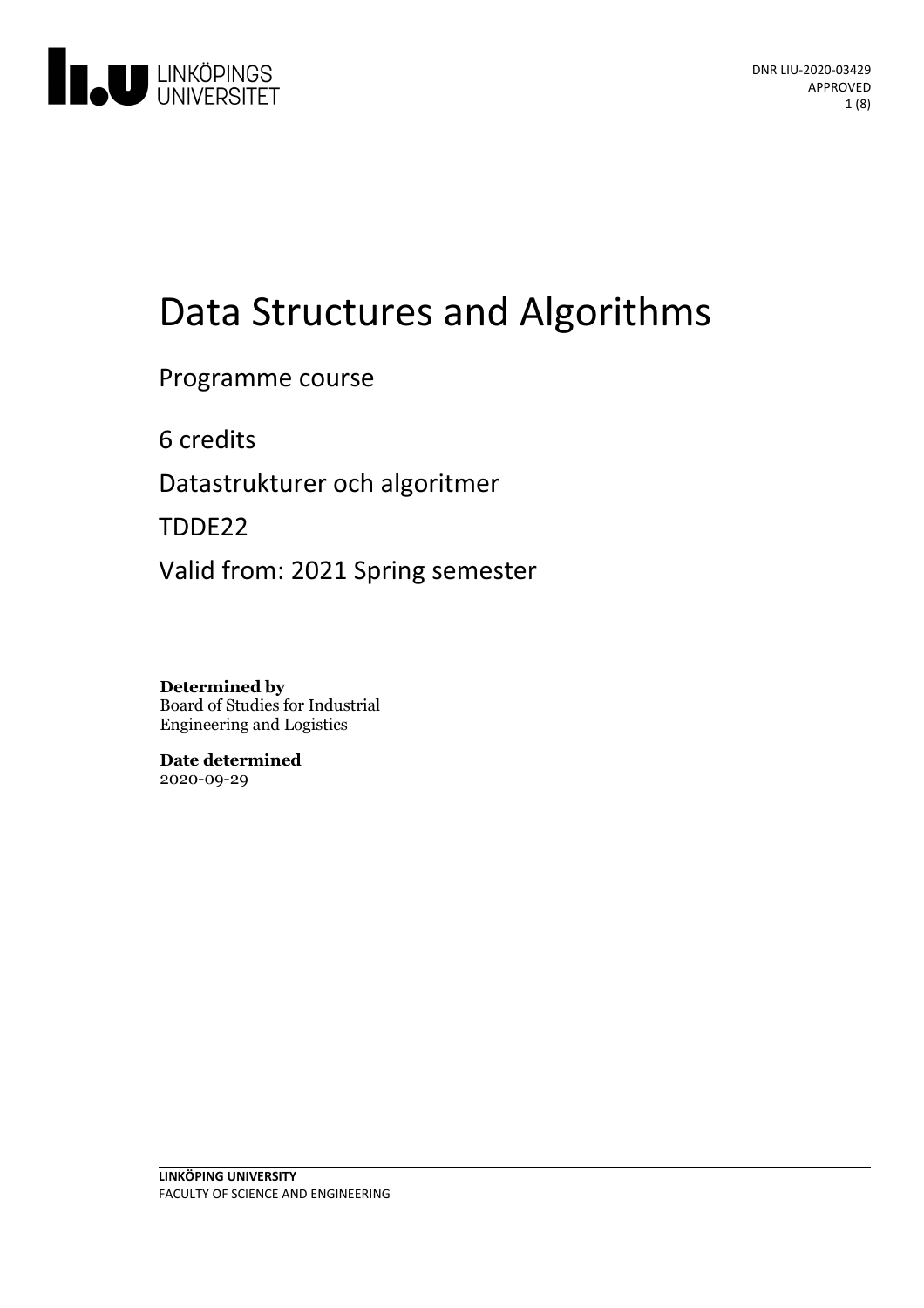

# Data Structures and Algorithms

Programme course

6 credits

Datastrukturer och algoritmer

TDDE22

Valid from: 2021 Spring semester

**Determined by** Board of Studies for Industrial Engineering and Logistics

**Date determined** 2020-09-29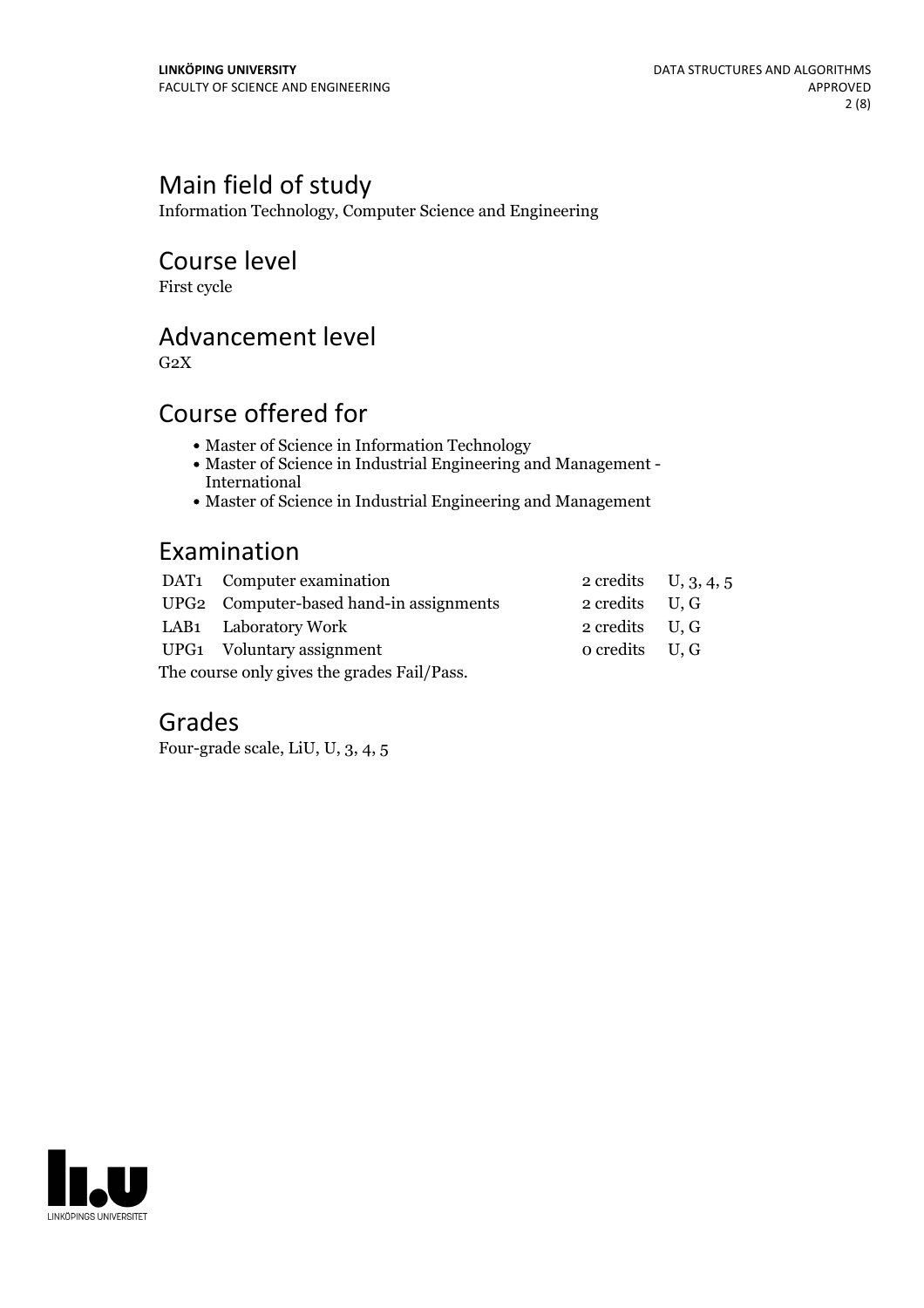# Main field of study

Information Technology, Computer Science and Engineering

# Course level

First cycle

# Advancement level

 $G<sub>2</sub>X$ 

# Course offered for

- Master of Science in Information Technology
- Master of Science in Industrial Engineering and Management International
- Master of Science in Industrial Engineering and Management

# Examination

|                                             | DAT1 Computer examination               | 2 credits $U, 3, 4, 5$   |  |
|---------------------------------------------|-----------------------------------------|--------------------------|--|
|                                             | UPG2 Computer-based hand-in assignments | $2 \text{ credits}$ U, G |  |
|                                             | LAB1 Laboratory Work                    | $2 \text{ credits}$ U, G |  |
|                                             | UPG1 Voluntary assignment               | $o$ credits $U, G$       |  |
| The course only gives the grades Fail/Pass. |                                         |                          |  |

# Grades

Four-grade scale, LiU, U, 3, 4, 5

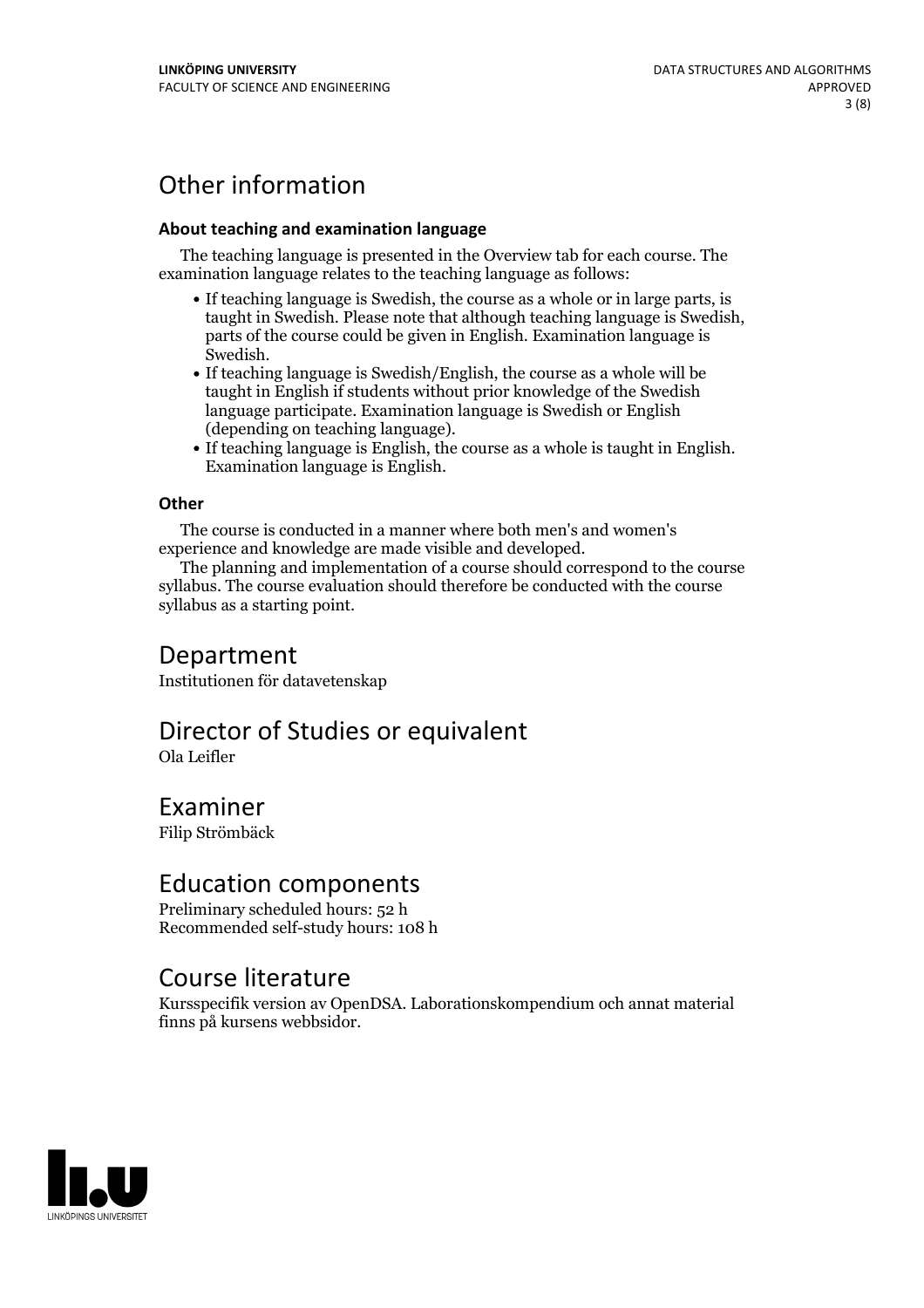# Other information

### **About teaching and examination language**

The teaching language is presented in the Overview tab for each course. The examination language relates to the teaching language as follows:

- If teaching language is Swedish, the course as a whole or in large parts, is taught in Swedish. Please note that although teaching language is Swedish, parts of the course could be given in English. Examination language is
- Swedish.<br>• If teaching language is Swedish/English, the course as a whole will be taught in English if students without prior knowledge of the Swedish language participate. Examination language is Swedish or English
- (depending on teaching language).<br>• If teaching language is English, the course as a whole is taught in English.<br>Examination language is English.

### **Other**

The course is conducted in a manner where both men's and women's

experience and knowledge are made visible and developed. The planning and implementation of <sup>a</sup> course should correspond to the course syllabus. The course evaluation should therefore be conducted with the course syllabus as a starting point.

### Department

Institutionen för datavetenskap

# Director of Studies or equivalent

Ola Leifler

# Examiner

Filip Strömbäck

## Education components

Preliminary scheduled hours: 52 h Recommended self-study hours: 108 h

# Course literature

Kursspecifik version av OpenDSA. Laborationskompendium och annat material finns på kursens webbsidor.

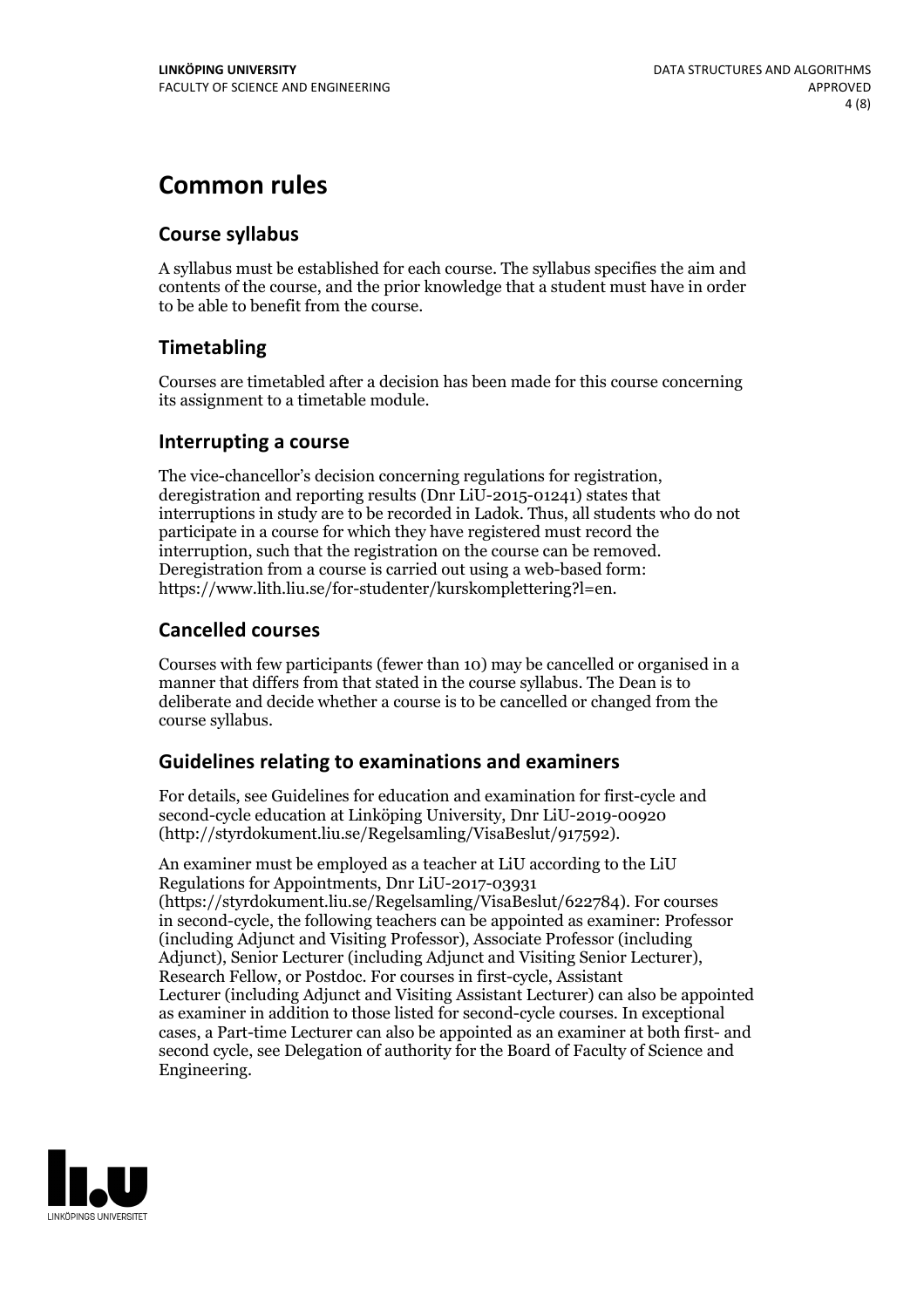# **Common rules**

### **Course syllabus**

A syllabus must be established for each course. The syllabus specifies the aim and contents of the course, and the prior knowledge that a student must have in order to be able to benefit from the course.

### **Timetabling**

Courses are timetabled after a decision has been made for this course concerning its assignment to a timetable module.

### **Interrupting a course**

The vice-chancellor's decision concerning regulations for registration, deregistration and reporting results (Dnr LiU-2015-01241) states that interruptions in study are to be recorded in Ladok. Thus, all students who do not participate in a course for which they have registered must record the interruption, such that the registration on the course can be removed. Deregistration from <sup>a</sup> course is carried outusing <sup>a</sup> web-based form: https://www.lith.liu.se/for-studenter/kurskomplettering?l=en.

### **Cancelled courses**

Courses with few participants (fewer than 10) may be cancelled or organised in a manner that differs from that stated in the course syllabus. The Dean is to deliberate and decide whether a course is to be cancelled or changed from the course syllabus.

### **Guidelines relatingto examinations and examiners**

For details, see Guidelines for education and examination for first-cycle and second-cycle education at Linköping University, Dnr LiU-2019-00920 (http://styrdokument.liu.se/Regelsamling/VisaBeslut/917592).

An examiner must be employed as a teacher at LiU according to the LiU Regulations for Appointments, Dnr LiU-2017-03931 (https://styrdokument.liu.se/Regelsamling/VisaBeslut/622784). For courses in second-cycle, the following teachers can be appointed as examiner: Professor (including Adjunct and Visiting Professor), Associate Professor (including Adjunct), Senior Lecturer (including Adjunct and Visiting Senior Lecturer), Research Fellow, or Postdoc. For courses in first-cycle, Assistant Lecturer (including Adjunct and Visiting Assistant Lecturer) can also be appointed as examiner in addition to those listed for second-cycle courses. In exceptional cases, a Part-time Lecturer can also be appointed as an examiner at both first- and second cycle, see Delegation of authority for the Board of Faculty of Science and Engineering.

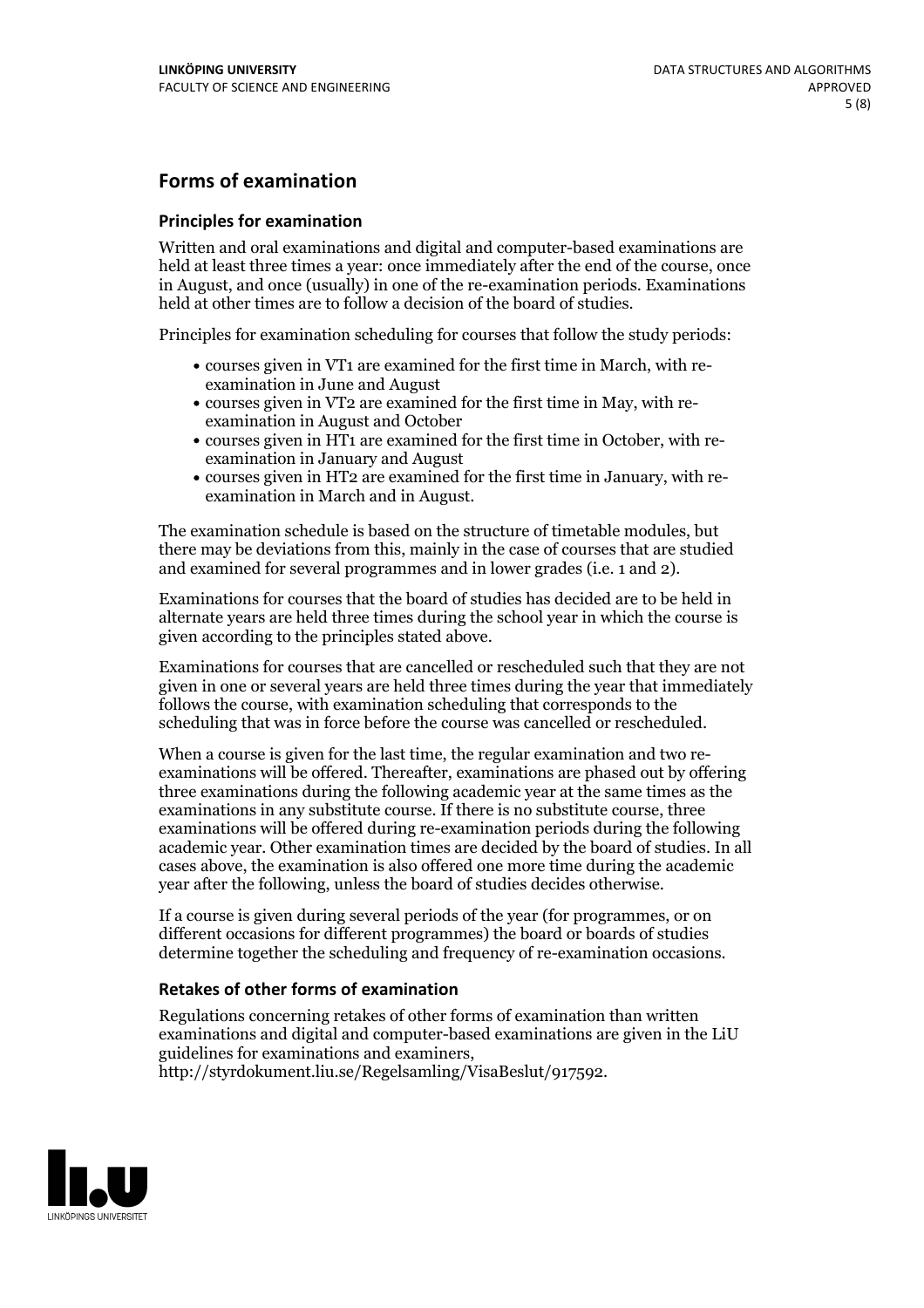### **Forms of examination**

#### **Principles for examination**

Written and oral examinations and digital and computer-based examinations are held at least three times a year: once immediately after the end of the course, once in August, and once (usually) in one of the re-examination periods. Examinations held at other times are to follow a decision of the board of studies.

Principles for examination scheduling for courses that follow the study periods:

- courses given in VT1 are examined for the first time in March, with re-examination in June and August
- courses given in VT2 are examined for the first time in May, with re-examination in August and October
- courses given in HT1 are examined for the first time in October, with re-examination in January and August
- courses given in HT2 are examined for the first time in January, with re-examination in March and in August.

The examination schedule is based on the structure of timetable modules, but there may be deviations from this, mainly in the case of courses that are studied and examined for several programmes and in lower grades (i.e. 1 and 2).

Examinations for courses that the board of studies has decided are to be held in alternate years are held three times during the school year in which the course is given according to the principles stated above.

Examinations for courses that are cancelled orrescheduled such that they are not given in one or several years are held three times during the year that immediately follows the course, with examination scheduling that corresponds to the scheduling that was in force before the course was cancelled or rescheduled.

When a course is given for the last time, the regular examination and two re-<br>examinations will be offered. Thereafter, examinations are phased out by offering three examinations during the following academic year at the same times as the examinations in any substitute course. If there is no substitute course, three examinations will be offered during re-examination periods during the following academic year. Other examination times are decided by the board of studies. In all cases above, the examination is also offered one more time during the academic year after the following, unless the board of studies decides otherwise.

If a course is given during several periods of the year (for programmes, or on different occasions for different programmes) the board or boards of studies determine together the scheduling and frequency of re-examination occasions.

#### **Retakes of other forms of examination**

Regulations concerning retakes of other forms of examination than written examinations and digital and computer-based examinations are given in the LiU guidelines for examinations and examiners, http://styrdokument.liu.se/Regelsamling/VisaBeslut/917592.

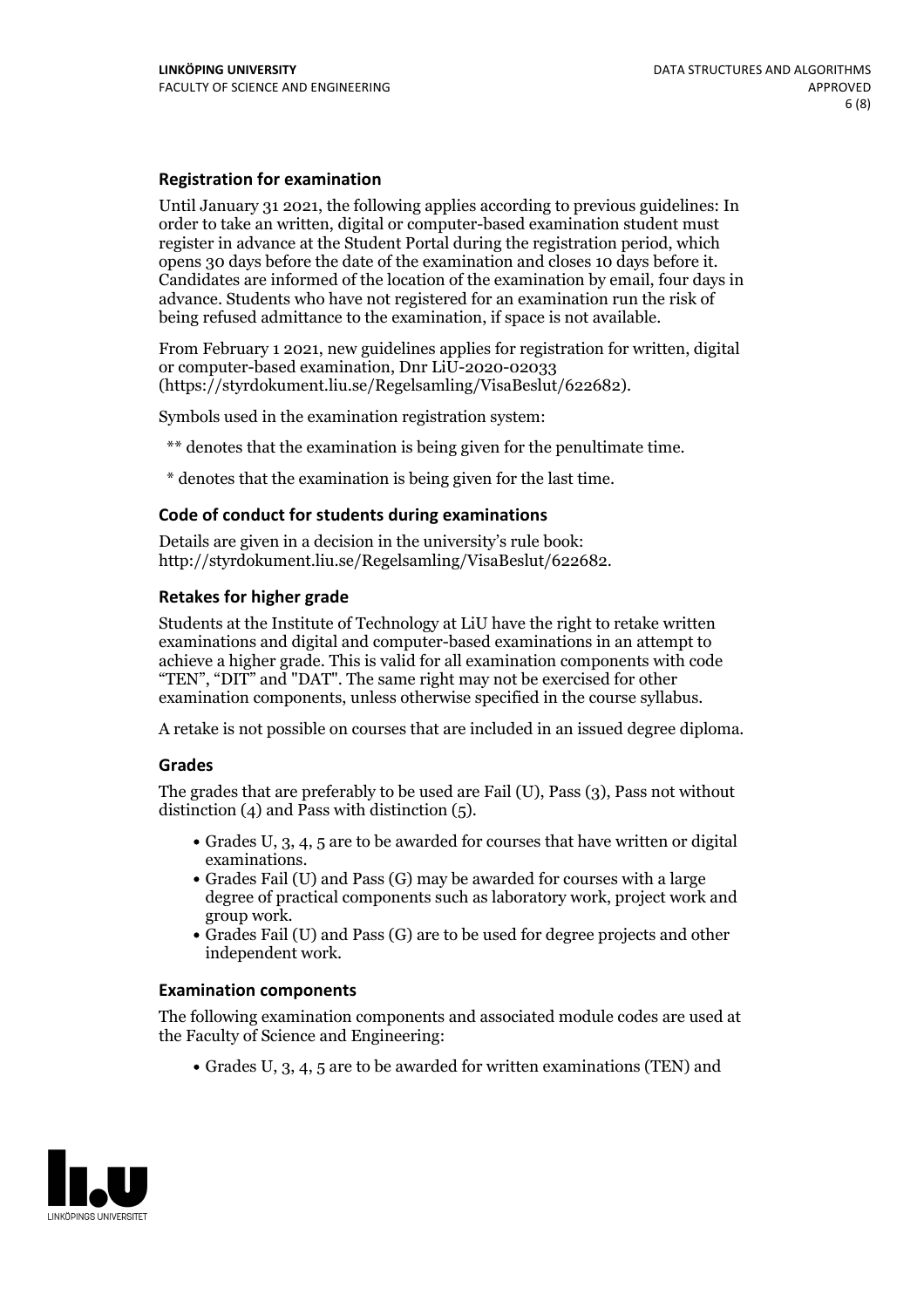#### **Registration for examination**

Until January 31 2021, the following applies according to previous guidelines: In order to take an written, digital or computer-based examination student must register in advance at the Student Portal during the registration period, which Candidates are informed of the location of the examination by email, four days in advance. Students who have not registered for an examination run the risk of being refused admittance to the examination, if space is not available.

From February 1 2021, new guidelines applies for registration for written, digital or computer-based examination, Dnr LiU-2020-02033 (https://styrdokument.liu.se/Regelsamling/VisaBeslut/622682).

Symbols used in the examination registration system:

\*\* denotes that the examination is being given for the penultimate time.

\* denotes that the examination is being given for the last time.

#### **Code of conduct for students during examinations**

Details are given in a decision in the university's rule book: http://styrdokument.liu.se/Regelsamling/VisaBeslut/622682.

### **Retakes for higher grade**

Students at the Institute of Technology at LiU have the right to retake written examinations and digital and computer-based examinations in an attempt to achieve a higher grade. This is valid for all examination components with code "TEN", "DIT" and "DAT". The same right may not be exercised for other examination components, unless otherwise specified in the course syllabus.

A retake is not possible on courses that are included in an issued degree diploma.

#### **Grades**

The grades that are preferably to be used are Fail (U), Pass (3), Pass not without distinction  $(4)$  and Pass with distinction  $(5)$ .

- Grades U, 3, 4, 5 are to be awarded for courses that have written or digital
- examinations.<br>• Grades Fail (U) and Pass (G) may be awarded for courses with a large degree of practical components such as laboratory work, project work and
- $\bullet$  Grades Fail (U) and Pass (G) are to be used for degree projects and other independent work.

#### **Examination components**

The following examination components and associated module codes are used at the Faculty of Science and Engineering:

Grades U, 3, 4, 5 are to be awarded for written examinations (TEN) and

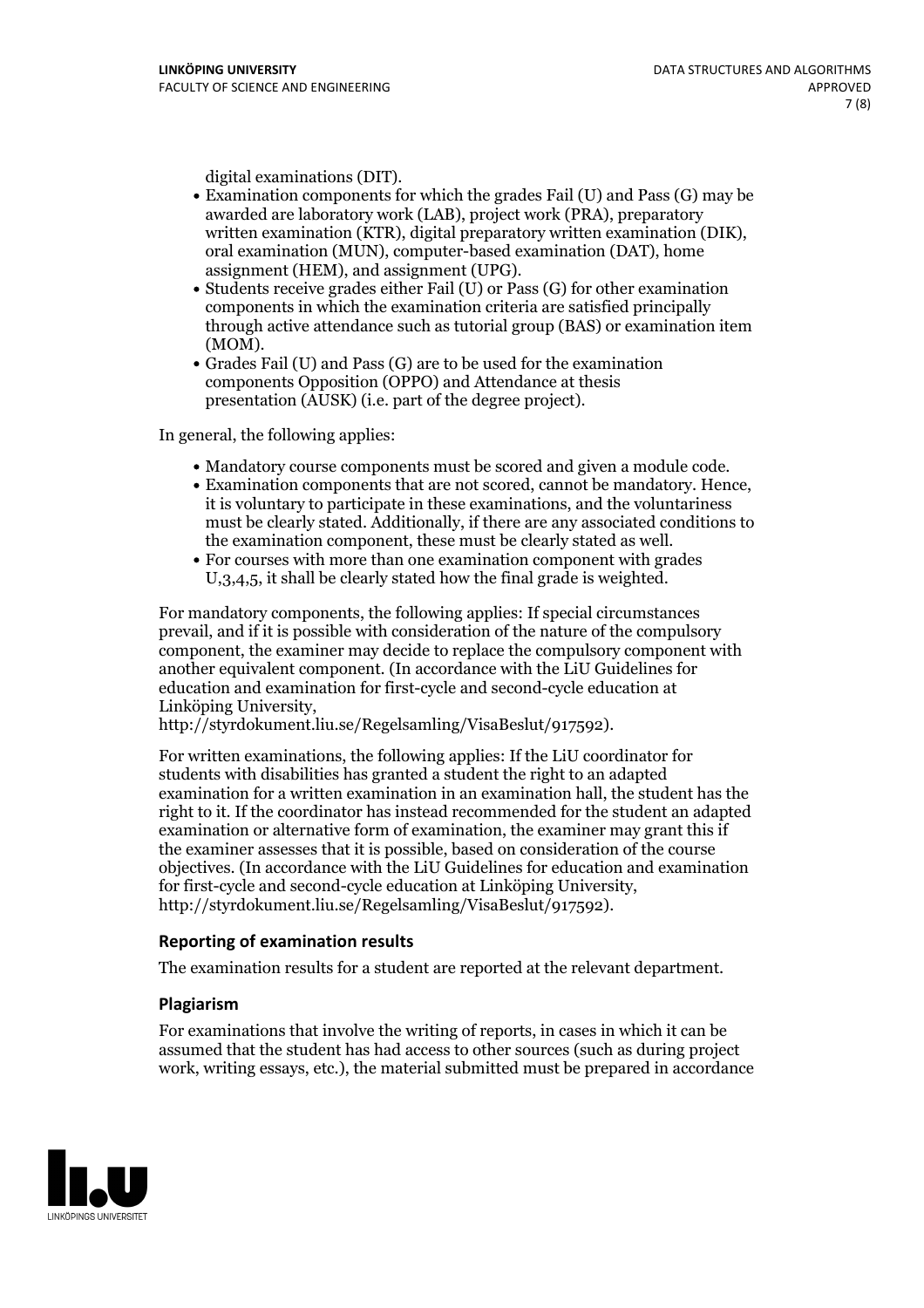- digital examinations (DIT).<br>• Examination components for which the grades Fail (U) and Pass (G) may be awarded are laboratory work (LAB), project work (PRA), preparatory written examination (KTR), digital preparatory written examination (DIK), oral examination (MUN), computer-based examination (DAT), home
- assignment (HEM), and assignment (UPG).<br>• Students receive grades either Fail (U) or Pass (G) for other examination components in which the examination criteria are satisfied principally through active attendance such as tutorial group (BAS) or examination item
- (MOM).<br>• Grades Fail (U) and Pass (G) are to be used for the examination components Opposition (OPPO) and Attendance at thesis presentation (AUSK) (i.e. part of the degree project).

In general, the following applies:

- 
- Mandatory course components must be scored and given <sup>a</sup> module code. Examination components that are not scored, cannot be mandatory. Hence, it is voluntary to participate in these examinations, and the voluntariness must be clearly stated. Additionally, if there are any associated conditions to the examination component, these must be clearly stated as well.<br>• For courses with more than one examination component with grades
- U,3,4,5, it shall be clearly stated how the final grade is weighted.

For mandatory components, the following applies: If special circumstances prevail, and if it is possible with consideration of the nature ofthe compulsory component, the examiner may decide to replace the compulsory component with another equivalent component. (In accordance with the LiU Guidelines for education and examination for first-cycle and second-cycle education at Linköping University, http://styrdokument.liu.se/Regelsamling/VisaBeslut/917592).

For written examinations, the following applies: If the LiU coordinator for students with disabilities has granted a student the right to an adapted examination for a written examination in an examination hall, the student has the right to it. If the coordinator has instead recommended for the student an adapted examination or alternative form of examination, the examiner may grant this if the examiner assesses that it is possible, based on consideration of the course objectives. (In accordance with the LiU Guidelines for education and examination for first-cycle and second-cycle education at Linköping University, http://styrdokument.liu.se/Regelsamling/VisaBeslut/917592).

#### **Reporting of examination results**

The examination results for a student are reported at the relevant department.

#### **Plagiarism**

For examinations that involve the writing of reports, in cases in which it can be assumed that the student has had access to other sources (such as during project work, writing essays, etc.), the material submitted must be prepared in accordance